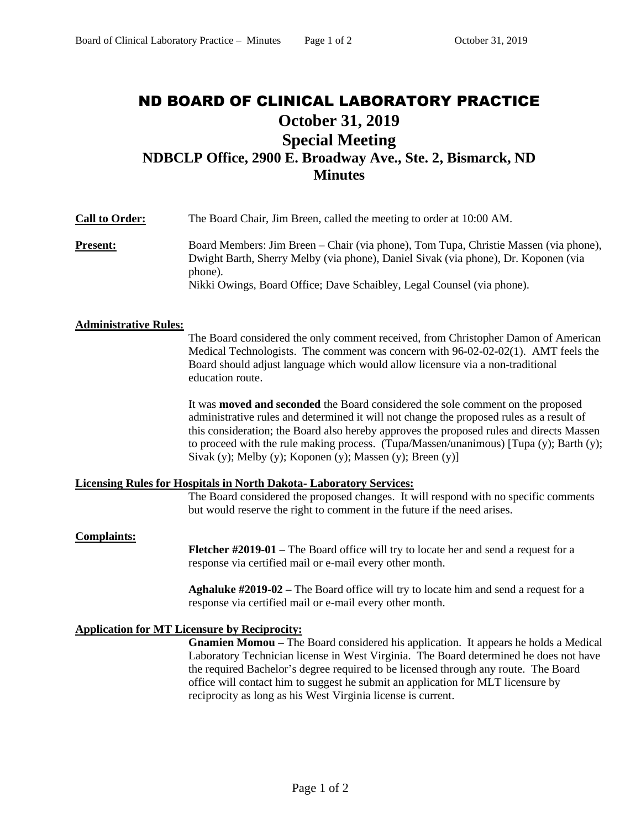# ND BOARD OF CLINICAL LABORATORY PRACTICE **October 31, 2019 Special Meeting NDBCLP Office, 2900 E. Broadway Ave., Ste. 2, Bismarck, ND Minutes**

**Call to Order:** The Board Chair, Jim Breen, called the meeting to order at 10:00 AM. **Present:** Board Members: Jim Breen – Chair (via phone), Tom Tupa, Christie Massen (via phone), Dwight Barth, Sherry Melby (via phone), Daniel Sivak (via phone), Dr. Koponen (via phone). Nikki Owings, Board Office; Dave Schaibley, Legal Counsel (via phone).

## **Administrative Rules:**

The Board considered the only comment received, from Christopher Damon of American Medical Technologists. The comment was concern with 96-02-02-02(1). AMT feels the Board should adjust language which would allow licensure via a non-traditional education route.

It was **moved and seconded** the Board considered the sole comment on the proposed administrative rules and determined it will not change the proposed rules as a result of this consideration; the Board also hereby approves the proposed rules and directs Massen to proceed with the rule making process. (Tupa/Massen/unanimous) [Tupa (y); Barth (y); Sivak (y); Melby (y); Koponen (y); Massen (y); Breen (y)]

## **Licensing Rules for Hospitals in North Dakota- Laboratory Services:**

The Board considered the proposed changes. It will respond with no specific comments but would reserve the right to comment in the future if the need arises.

### **Complaints:**

**Fletcher #2019-01 –** The Board office will try to locate her and send a request for a response via certified mail or e-mail every other month.

**Aghaluke #2019-02 –** The Board office will try to locate him and send a request for a response via certified mail or e-mail every other month.

## **Application for MT Licensure by Reciprocity:**

**Gnamien Momou –** The Board considered his application. It appears he holds a Medical Laboratory Technician license in West Virginia. The Board determined he does not have the required Bachelor's degree required to be licensed through any route. The Board office will contact him to suggest he submit an application for MLT licensure by reciprocity as long as his West Virginia license is current.